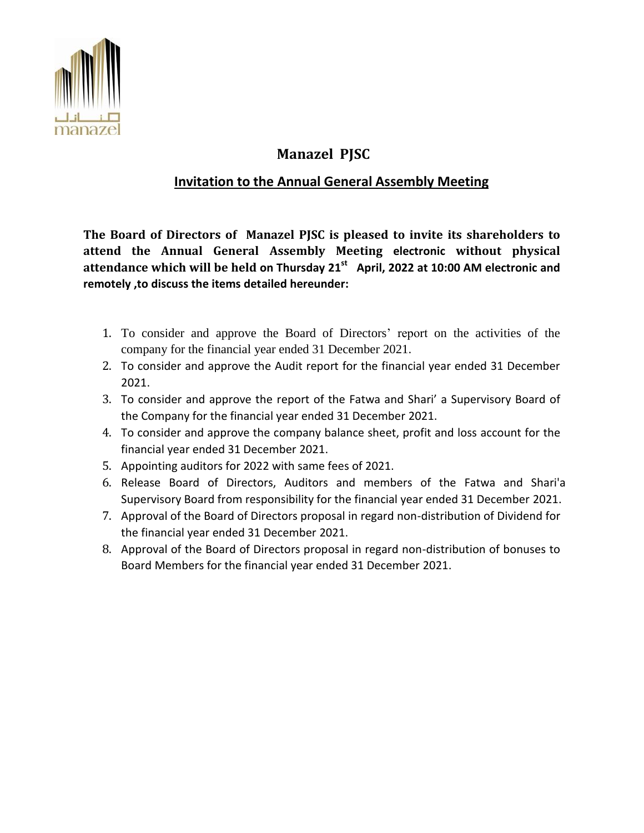

## **Manazel PJSC**

## **Invitation to the Annual General Assembly Meeting**

**The Board of Directors of Manazel PJSC is pleased to invite its shareholders to attend the Annual General Assembly Meeting electronic without physical attendance which will be held on Thursday 21st April, 2022 at 10:00 AM electronic and remotely ,to discuss the items detailed hereunder:**

- 1. To consider and approve the Board of Directors' report on the activities of the company for the financial year ended 31 December 2021.
- 2. To consider and approve the Audit report for the financial year ended 31 December 2021.
- 3. To consider and approve the report of the Fatwa and Shari' a Supervisory Board of the Company for the financial year ended 31 December 2021.
- 4. To consider and approve the company balance sheet, profit and loss account for the financial year ended 31 December 2021.
- 5. Appointing auditors for 2022 with same fees of 2021.
- 6. Release Board of Directors, Auditors and members of the Fatwa and Shari'a Supervisory Board from responsibility for the financial year ended 31 December 2021.
- 7. Approval of the Board of Directors proposal in regard non-distribution of Dividend for the financial year ended 31 December 2021.
- 8. Approval of the Board of Directors proposal in regard non-distribution of bonuses to Board Members for the financial year ended 31 December 2021.